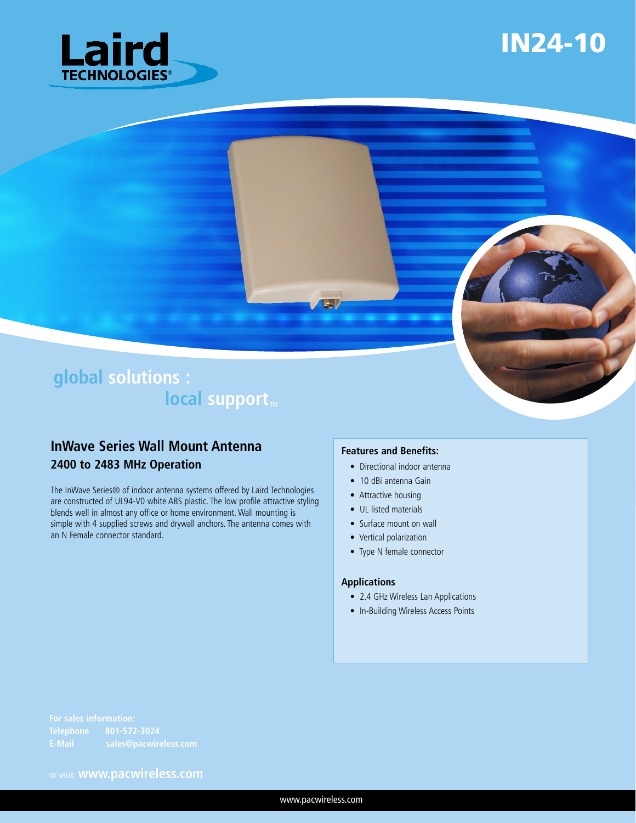

# IN24-10

### **global solutions :**  $local support<sub>m</sub>$

#### **InWave Series Wall Mount Antenna 2400 to 2483 MHz Operation**

The InWave Series® of indoor antenna systems offered by Laird Technologies are constructed of UL94-V0 white ABS plastic. The low profile attractive styling blends well in almost any office or home environment. Wall mounting is simple with 4 supplied screws and drywall anchors. The antenna comes with an N Female connector standard.

#### **Features and Benefits:**

 $\mathbb{F}_2$ 

- Directional indoor antenna
- 10 dBi antenna Gain
- Attractive housing
- UL listed materials
- Surface mount on wall
- Vertical polarization
- Type N female connector

#### **Applications**

- 2.4 GHz Wireless Lan Applications
- In-Building Wireless Access Points

or visit: **www.pacwireless.com**